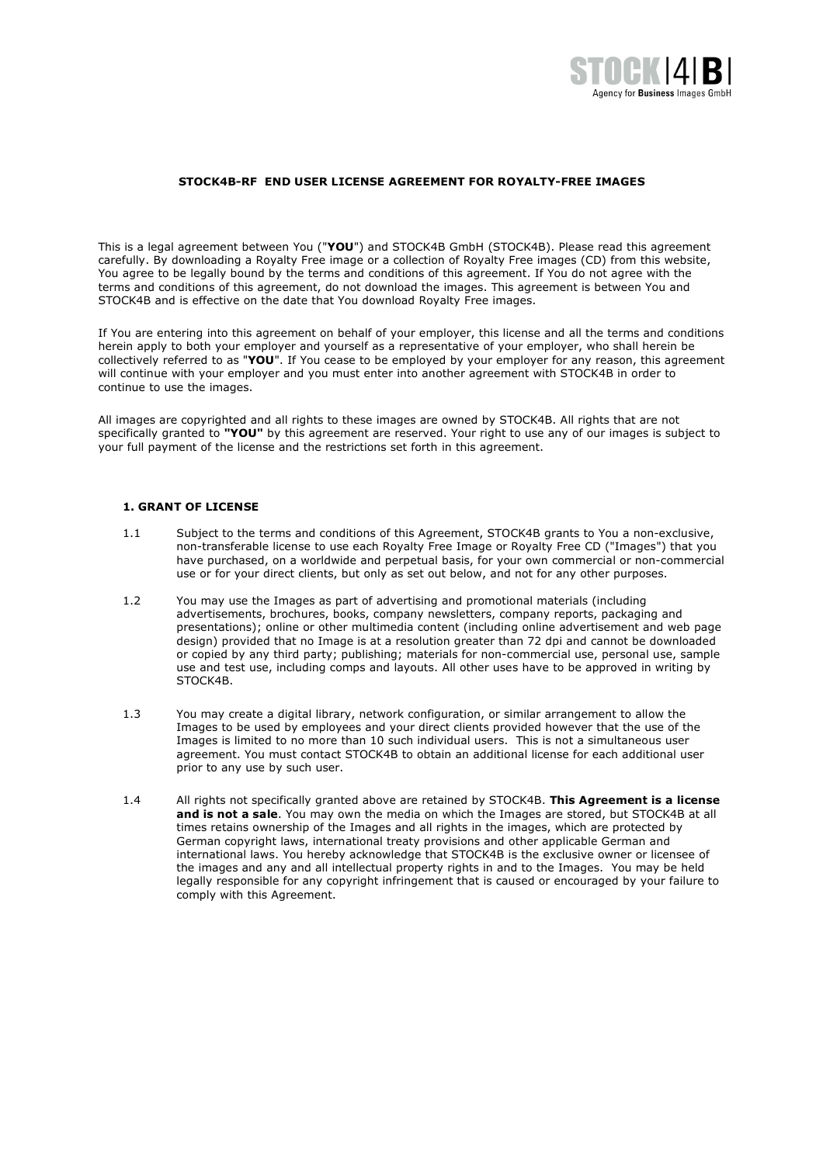

#### **STOCK4B-RF END USER LICENSE AGREEMENT FOR ROYALTY-FREE IMAGES**

This is a legal agreement between You ("**YOU**") and STOCK4B GmbH (STOCK4B). Please read this agreement carefully. By downloading a Royalty Free image or a collection of Royalty Free images (CD) from this website, You agree to be legally bound by the terms and conditions of this agreement. If You do not agree with the terms and conditions of this agreement, do not download the images. This agreement is between You and STOCK4B and is effective on the date that You download Royalty Free images.

If You are entering into this agreement on behalf of your employer, this license and all the terms and conditions herein apply to both your employer and yourself as a representative of your employer, who shall herein be collectively referred to as "**YOU**". If You cease to be employed by your employer for any reason, this agreement will continue with your employer and you must enter into another agreement with STOCK4B in order to continue to use the images.

All images are copyrighted and all rights to these images are owned by STOCK4B. All rights that are not specifically granted to **"YOU"** by this agreement are reserved. Your right to use any of our images is subject to your full payment of the license and the restrictions set forth in this agreement.

## **1. GRANT OF LICENSE**

- 1.1 Subject to the terms and conditions of this Agreement, STOCK4B grants to You a non-exclusive, non-transferable license to use each Royalty Free Image or Royalty Free CD ("Images") that you have purchased, on a worldwide and perpetual basis, for your own commercial or non-commercial use or for your direct clients, but only as set out below, and not for any other purposes.
- 1.2 You may use the Images as part of advertising and promotional materials (including advertisements, brochures, books, company newsletters, company reports, packaging and presentations); online or other multimedia content (including online advertisement and web page design) provided that no Image is at a resolution greater than 72 dpi and cannot be downloaded or copied by any third party; publishing; materials for non-commercial use, personal use, sample use and test use, including comps and layouts. All other uses have to be approved in writing by STOCK4B.
- 1.3 You may create a digital library, network configuration, or similar arrangement to allow the Images to be used by employees and your direct clients provided however that the use of the Images is limited to no more than 10 such individual users. This is not a simultaneous user agreement. You must contact STOCK4B to obtain an additional license for each additional user prior to any use by such user.
- 1.4 All rights not specifically granted above are retained by STOCK4B. **This Agreement is a license and is not a sale**. You may own the media on which the Images are stored, but STOCK4B at all times retains ownership of the Images and all rights in the images, which are protected by German copyright laws, international treaty provisions and other applicable German and international laws. You hereby acknowledge that STOCK4B is the exclusive owner or licensee of the images and any and all intellectual property rights in and to the Images. You may be held legally responsible for any copyright infringement that is caused or encouraged by your failure to comply with this Agreement.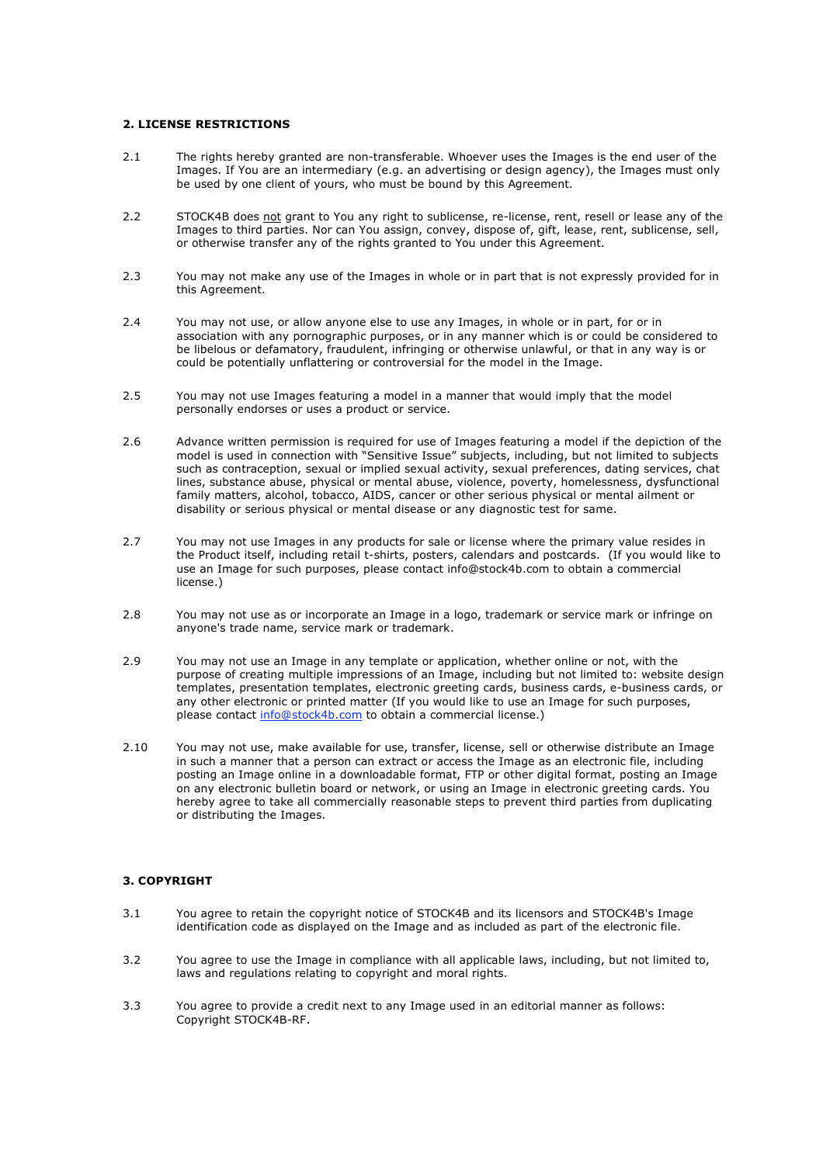# **2. LICENSE RESTRICTIONS**

- 2.1 The rights hereby granted are non-transferable. Whoever uses the Images is the end user of the Images. If You are an intermediary (e.g. an advertising or design agency), the Images must only be used by one client of yours, who must be bound by this Agreement.
- 2.2 STOCK4B does not grant to You any right to sublicense, re-license, rent, resell or lease any of the Images to third parties. Nor can You assign, convey, dispose of, gift, lease, rent, sublicense, sell, or otherwise transfer any of the rights granted to You under this Agreement.
- 2.3 You may not make any use of the Images in whole or in part that is not expressly provided for in this Agreement.
- 2.4 You may not use, or allow anyone else to use any Images, in whole or in part, for or in association with any pornographic purposes, or in any manner which is or could be considered to be libelous or defamatory, fraudulent, infringing or otherwise unlawful, or that in any way is or could be potentially unflattering or controversial for the model in the Image.
- 2.5 You may not use Images featuring a model in a manner that would imply that the model personally endorses or uses a product or service.
- 2.6 Advance written permission is required for use of Images featuring a model if the depiction of the model is used in connection with "Sensitive Issue" subjects, including, but not limited to subjects such as contraception, sexual or implied sexual activity, sexual preferences, dating services, chat lines, substance abuse, physical or mental abuse, violence, poverty, homelessness, dysfunctional family matters, alcohol, tobacco, AIDS, cancer or other serious physical or mental ailment or disability or serious physical or mental disease or any diagnostic test for same.
- 2.7 You may not use Images in any products for sale or license where the primary value resides in the Product itself, including retail t-shirts, posters, calendars and postcards. (If you would like to use an Image for such purposes, please contact info@stock4b.com to obtain a commercial license.)
- 2.8 You may not use as or incorporate an Image in a logo, trademark or service mark or infringe on anyone's trade name, service mark or trademark.
- 2.9 You may not use an Image in any template or application, whether online or not, with the purpose of creating multiple impressions of an Image, including but not limited to: website design templates, presentation templates, electronic greeting cards, business cards, e-business cards, or any other electronic or printed matter (If you would like to use an Image for such purposes, please contact info@stock4b.com to obtain a commercial license.)
- 2.10 You may not use, make available for use, transfer, license, sell or otherwise distribute an Image in such a manner that a person can extract or access the Image as an electronic file, including posting an Image online in a downloadable format, FTP or other digital format, posting an Image on any electronic bulletin board or network, or using an Image in electronic greeting cards. You hereby agree to take all commercially reasonable steps to prevent third parties from duplicating or distributing the Images.

# **3. COPYRIGHT**

- 3.1 You agree to retain the copyright notice of STOCK4B and its licensors and STOCK4B's Image identification code as displayed on the Image and as included as part of the electronic file.
- 3.2 You agree to use the Image in compliance with all applicable laws, including, but not limited to, laws and regulations relating to copyright and moral rights.
- 3.3 You agree to provide a credit next to any Image used in an editorial manner as follows: Copyright STOCK4B-RF.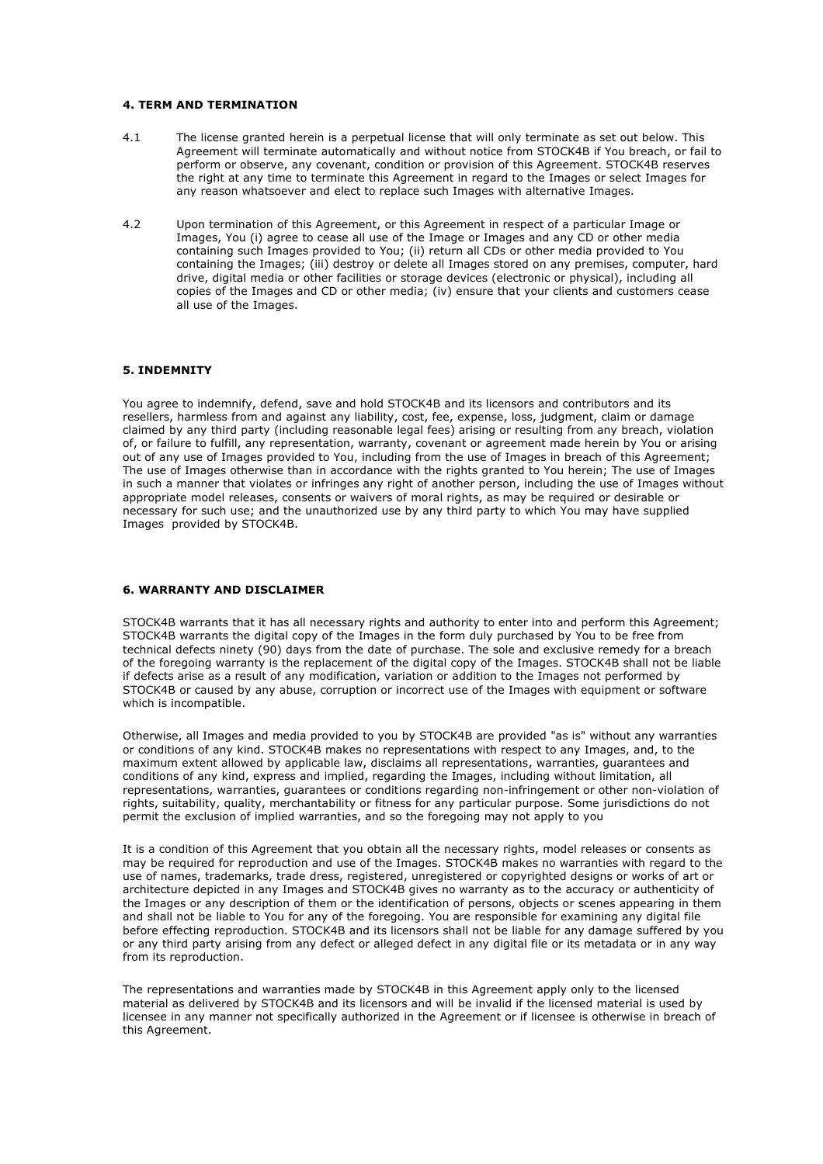#### **4. TERM AND TERMINATION**

- 4.1 The license granted herein is a perpetual license that will only terminate as set out below. This Agreement will terminate automatically and without notice from STOCK4B if You breach, or fail to perform or observe, any covenant, condition or provision of this Agreement. STOCK4B reserves the right at any time to terminate this Agreement in regard to the Images or select Images for any reason whatsoever and elect to replace such Images with alternative Images.
- 4.2 Upon termination of this Agreement, or this Agreement in respect of a particular Image or Images, You (i) agree to cease all use of the Image or Images and any CD or other media containing such Images provided to You; (ii) return all CDs or other media provided to You containing the Images; (iii) destroy or delete all Images stored on any premises, computer, hard drive, digital media or other facilities or storage devices (electronic or physical), including all copies of the Images and CD or other media; (iv) ensure that your clients and customers cease all use of the Images.

# **5. INDEMNITY**

You agree to indemnify, defend, save and hold STOCK4B and its licensors and contributors and its resellers, harmless from and against any liability, cost, fee, expense, loss, judgment, claim or damage claimed by any third party (including reasonable legal fees) arising or resulting from any breach, violation of, or failure to fulfill, any representation, warranty, covenant or agreement made herein by You or arising out of any use of Images provided to You, including from the use of Images in breach of this Agreement; The use of Images otherwise than in accordance with the rights granted to You herein; The use of Images in such a manner that violates or infringes any right of another person, including the use of Images without appropriate model releases, consents or waivers of moral rights, as may be required or desirable or necessary for such use; and the unauthorized use by any third party to which You may have supplied Images provided by STOCK4B.

### **6. WARRANTY AND DISCLAIMER**

STOCK4B warrants that it has all necessary rights and authority to enter into and perform this Agreement; STOCK4B warrants the digital copy of the Images in the form duly purchased by You to be free from technical defects ninety (90) days from the date of purchase. The sole and exclusive remedy for a breach of the foregoing warranty is the replacement of the digital copy of the Images. STOCK4B shall not be liable if defects arise as a result of any modification, variation or addition to the Images not performed by STOCK4B or caused by any abuse, corruption or incorrect use of the Images with equipment or software which is incompatible.

Otherwise, all Images and media provided to you by STOCK4B are provided "as is" without any warranties or conditions of any kind. STOCK4B makes no representations with respect to any Images, and, to the maximum extent allowed by applicable law, disclaims all representations, warranties, guarantees and conditions of any kind, express and implied, regarding the Images, including without limitation, all representations, warranties, guarantees or conditions regarding non-infringement or other non-violation of rights, suitability, quality, merchantability or fitness for any particular purpose. Some jurisdictions do not permit the exclusion of implied warranties, and so the foregoing may not apply to you

It is a condition of this Agreement that you obtain all the necessary rights, model releases or consents as may be required for reproduction and use of the Images. STOCK4B makes no warranties with regard to the use of names, trademarks, trade dress, registered, unregistered or copyrighted designs or works of art or architecture depicted in any Images and STOCK4B gives no warranty as to the accuracy or authenticity of the Images or any description of them or the identification of persons, objects or scenes appearing in them and shall not be liable to You for any of the foregoing. You are responsible for examining any digital file before effecting reproduction. STOCK4B and its licensors shall not be liable for any damage suffered by you or any third party arising from any defect or alleged defect in any digital file or its metadata or in any way from its reproduction.

The representations and warranties made by STOCK4B in this Agreement apply only to the licensed material as delivered by STOCK4B and its licensors and will be invalid if the licensed material is used by licensee in any manner not specifically authorized in the Agreement or if licensee is otherwise in breach of this Agreement.